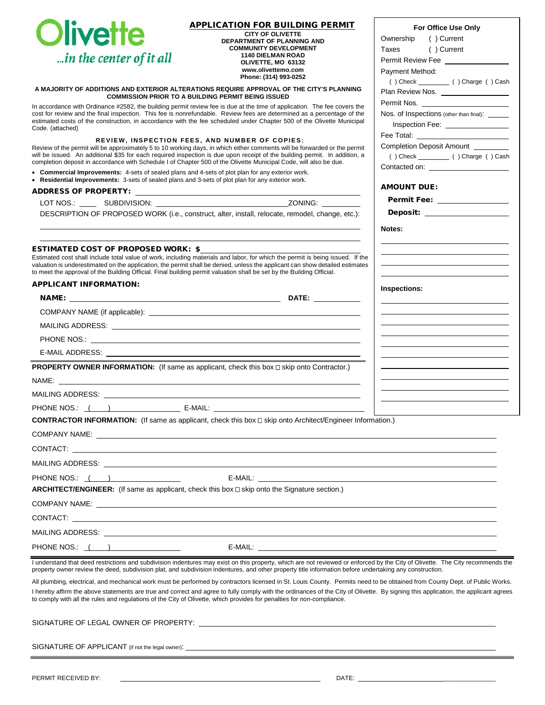| <b>Olivette</b>                                                                                                                                                                                                                                                                                                                                                              | <b>APPLICATION FOR BUILDING PERMIT</b><br><b>CITY OF OLIVETTE</b><br>DEPARTMENT OF PLANNING AND<br><b>COMMUNITY DEVELOPMENT</b>                                                                                                                                                                                                                                                        | For Office Use Only<br>() Current<br>Ownership<br>() Current<br>Taxes              |
|------------------------------------------------------------------------------------------------------------------------------------------------------------------------------------------------------------------------------------------------------------------------------------------------------------------------------------------------------------------------------|----------------------------------------------------------------------------------------------------------------------------------------------------------------------------------------------------------------------------------------------------------------------------------------------------------------------------------------------------------------------------------------|------------------------------------------------------------------------------------|
| in the center of it all                                                                                                                                                                                                                                                                                                                                                      | <b>1140 DIELMAN ROAD</b><br>OLIVETTE, MO 63132                                                                                                                                                                                                                                                                                                                                         | Permit Review Fee _________________                                                |
|                                                                                                                                                                                                                                                                                                                                                                              | www.olivettemo.com<br>Phone: (314) 993-0252                                                                                                                                                                                                                                                                                                                                            | Payment Method:                                                                    |
|                                                                                                                                                                                                                                                                                                                                                                              | A MAJORITY OF ADDITIONS AND EXTERIOR ALTERATIONS REQUIRE APPROVAL OF THE CITY'S PLANNING<br><b>COMMISSION PRIOR TO A BUILDING PERMIT BEING ISSUED</b>                                                                                                                                                                                                                                  | Plan Review Nos. __________________                                                |
|                                                                                                                                                                                                                                                                                                                                                                              | In accordance with Ordinance #2582, the building permit review fee is due at the time of application. The fee covers the                                                                                                                                                                                                                                                               | Permit Nos.                                                                        |
| Code. (attached)                                                                                                                                                                                                                                                                                                                                                             | cost for review and the final inspection. This fee is nonrefundable. Review fees are determined as a percentage of the<br>estimated costs of the construction, in accordance with the fee scheduled under Chapter 500 of the Olivette Municipal                                                                                                                                        | Nos. of Inspections (other than final). ______<br>Inspection Fee: ________________ |
|                                                                                                                                                                                                                                                                                                                                                                              | REVIEW, INSPECTION FEES, AND NUMBER OF COPIES:                                                                                                                                                                                                                                                                                                                                         | Completion Deposit Amount _________                                                |
| Review of the permit will be approximately 5 to 10 working days, in which either comments will be forwarded or the permit<br>will be issued. An additional \$35 for each required inspection is due upon receipt of the building permit. In addition, a<br>completion deposit in accordance with Schedule I of Chapter 500 of the Olivette Municipal Code, will also be due. |                                                                                                                                                                                                                                                                                                                                                                                        |                                                                                    |
| • Commercial Improvements: 4-sets of sealed plans and 4-sets of plot plan for any exterior work.<br>• Residential Improvements: 3-sets of sealed plans and 3-sets of plot plan for any exterior work.                                                                                                                                                                        |                                                                                                                                                                                                                                                                                                                                                                                        |                                                                                    |
|                                                                                                                                                                                                                                                                                                                                                                              |                                                                                                                                                                                                                                                                                                                                                                                        | <b>AMOUNT DUE:</b>                                                                 |
|                                                                                                                                                                                                                                                                                                                                                                              |                                                                                                                                                                                                                                                                                                                                                                                        | Permit Fee: _______________                                                        |
|                                                                                                                                                                                                                                                                                                                                                                              | DESCRIPTION OF PROPOSED WORK (i.e., construct, alter, install, relocate, remodel, change, etc.):                                                                                                                                                                                                                                                                                       | Deposit: ____________________                                                      |
|                                                                                                                                                                                                                                                                                                                                                                              |                                                                                                                                                                                                                                                                                                                                                                                        | Notes:                                                                             |
| <b>ESTIMATED COST OF PROPOSED WORK: \$</b>                                                                                                                                                                                                                                                                                                                                   |                                                                                                                                                                                                                                                                                                                                                                                        |                                                                                    |
|                                                                                                                                                                                                                                                                                                                                                                              | Estimated cost shall include total value of work, including materials and labor, for which the permit is being issued. If the<br>valuation is underestimated on the application, the permit shall be denied, unless the applicant can show detailed estimates<br>to meet the approval of the Building Official. Final building permit valuation shall be set by the Building Official. |                                                                                    |
| <b>APPLICANT INFORMATION:</b>                                                                                                                                                                                                                                                                                                                                                |                                                                                                                                                                                                                                                                                                                                                                                        | Inspections:                                                                       |
|                                                                                                                                                                                                                                                                                                                                                                              |                                                                                                                                                                                                                                                                                                                                                                                        |                                                                                    |
|                                                                                                                                                                                                                                                                                                                                                                              |                                                                                                                                                                                                                                                                                                                                                                                        |                                                                                    |
|                                                                                                                                                                                                                                                                                                                                                                              | MAILING ADDRESS: And the contract of the contract of the contract of the contract of the contract of the contract of the contract of the contract of the contract of the contract of the contract of the contract of the contr                                                                                                                                                         |                                                                                    |
|                                                                                                                                                                                                                                                                                                                                                                              |                                                                                                                                                                                                                                                                                                                                                                                        |                                                                                    |
|                                                                                                                                                                                                                                                                                                                                                                              | E-MAIL ADDRESS: North and the state of the state of the state of the state of the state of the state of the state of the state of the state of the state of the state of the state of the state of the state of the state of t                                                                                                                                                         |                                                                                    |
|                                                                                                                                                                                                                                                                                                                                                                              | <b>PROPERTY OWNER INFORMATION:</b> (If same as applicant, check this box $\Box$ skip onto Contractor.)                                                                                                                                                                                                                                                                                 |                                                                                    |
|                                                                                                                                                                                                                                                                                                                                                                              | MAILING ADDRESS: WAS ARRESTED FOR A 200 FOR THE STATE OF THE STATE OF THE STATE OF THE STATE OF THE STATE OF T                                                                                                                                                                                                                                                                         |                                                                                    |
|                                                                                                                                                                                                                                                                                                                                                                              |                                                                                                                                                                                                                                                                                                                                                                                        |                                                                                    |
|                                                                                                                                                                                                                                                                                                                                                                              | CONTRACTOR INFORMATION: (If same as applicant, check this box □ skip onto Architect/Engineer Information.)                                                                                                                                                                                                                                                                             |                                                                                    |
|                                                                                                                                                                                                                                                                                                                                                                              |                                                                                                                                                                                                                                                                                                                                                                                        |                                                                                    |
|                                                                                                                                                                                                                                                                                                                                                                              |                                                                                                                                                                                                                                                                                                                                                                                        |                                                                                    |
|                                                                                                                                                                                                                                                                                                                                                                              | MAILING ADDRESS: WAS ARRESTED FOR A 200 FOR THE RESIDENCE OF A 200 FOR THE RESIDENCE OF A 200 FOR THE RESIDENCE OF A 200 FOR THE RESIDENCE OF A 200 FOR THE RESIDENCE OF A 200 FOR THE RESIDENCE OF A 200 FOR THE RESIDENCE OF                                                                                                                                                         |                                                                                    |
| PHONE NOS.: $($                                                                                                                                                                                                                                                                                                                                                              | $E-MAIL:$                                                                                                                                                                                                                                                                                                                                                                              |                                                                                    |
|                                                                                                                                                                                                                                                                                                                                                                              | <b>ARCHITECT/ENGINEER:</b> (If same as applicant, check this box $\Box$ skip onto the Signature section.)                                                                                                                                                                                                                                                                              |                                                                                    |
|                                                                                                                                                                                                                                                                                                                                                                              | COMPANY NAME: LEADER AND THE SERVICE OF THE SERVICE OF THE SERVICE OF THE SERVICE OF THE SERVICE OF THE SERVICE OF THE SERVICE OF THE SERVICE OF THE SERVICE OF THE SERVICE OF THE SERVICE OF THE SERVICE OF THE SERVICE OF TH                                                                                                                                                         |                                                                                    |
|                                                                                                                                                                                                                                                                                                                                                                              |                                                                                                                                                                                                                                                                                                                                                                                        |                                                                                    |
|                                                                                                                                                                                                                                                                                                                                                                              |                                                                                                                                                                                                                                                                                                                                                                                        |                                                                                    |
| PHONE NOS.: $($ $)$                                                                                                                                                                                                                                                                                                                                                          |                                                                                                                                                                                                                                                                                                                                                                                        |                                                                                    |
|                                                                                                                                                                                                                                                                                                                                                                              | I understand that deed restrictions and subdivision indentures may exist on this property, which are not reviewed or enforced by the City of Olivette. The City recommends the<br>property owner review the deed, subdivision plat, and subdivision indentures, and other property title information before undertaking any construction.                                              |                                                                                    |
|                                                                                                                                                                                                                                                                                                                                                                              | All plumbing, electrical, and mechanical work must be performed by contractors licensed in St. Louis County. Permits need to be obtained from County Dept. of Public Works.                                                                                                                                                                                                            |                                                                                    |
|                                                                                                                                                                                                                                                                                                                                                                              | I hereby affirm the above statements are true and correct and agree to fully comply with the ordinances of the City of Olivette. By signing this application, the applicant agrees<br>to comply with all the rules and regulations of the City of Olivette, which provides for penalties for non-compliance.                                                                           |                                                                                    |
|                                                                                                                                                                                                                                                                                                                                                                              |                                                                                                                                                                                                                                                                                                                                                                                        |                                                                                    |

SIGNATURE OF APPLICANT (if not the legal owner):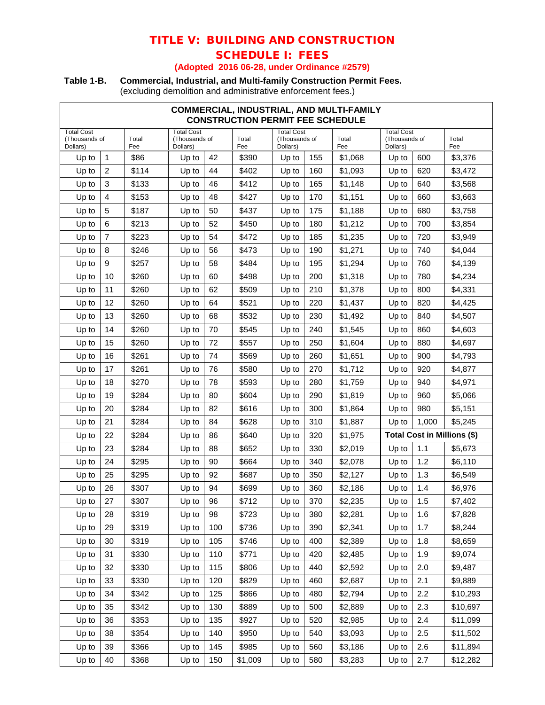# TITLE V: BUILDING AND CONSTRUCTION SCHEDULE I: FEES

### **(Adopted 2016 06-28, under Ordinance #2579)**

## **Table 1-B. Commercial, Industrial, and Multi-family Construction Permit Fees.**

(excluding demolition and administrative enforcement fees.)

| COMMERCIAL, INDUSTRIAL, AND MULTI-FAMILY<br><b>CONSTRUCTION PERMIT FEE SCHEDULE</b> |                |              |                                                |     |              |                                                |     |              |                                                |       |                             |
|-------------------------------------------------------------------------------------|----------------|--------------|------------------------------------------------|-----|--------------|------------------------------------------------|-----|--------------|------------------------------------------------|-------|-----------------------------|
| <b>Total Cost</b><br>(Thousands of<br>Dollars)                                      |                | Total<br>Fee | <b>Total Cost</b><br>(Thousands of<br>Dollars) |     | Total<br>Fee | <b>Total Cost</b><br>(Thousands of<br>Dollars) |     | Total<br>Fee | <b>Total Cost</b><br>(Thousands of<br>Dollars) |       | Total<br>Fee                |
| Up to                                                                               | $\mathbf{1}$   | \$86         | Up to                                          | 42  | \$390        | Up to                                          | 155 | \$1,068      | Up to                                          | 600   | \$3,376                     |
| Up to                                                                               | $\overline{2}$ | \$114        | Up to                                          | 44  | \$402        | Up to                                          | 160 | \$1,093      | Up to                                          | 620   | \$3,472                     |
| Up to                                                                               | 3              | \$133        | Up to                                          | 46  | \$412        | Up to                                          | 165 | \$1,148      | Up to                                          | 640   | \$3,568                     |
| Up to                                                                               | $\overline{4}$ | \$153        | Up to                                          | 48  | \$427        | Up to                                          | 170 | \$1,151      | Up to                                          | 660   | \$3,663                     |
| Up to                                                                               | 5              | \$187        | Up to                                          | 50  | \$437        | Up to                                          | 175 | \$1,188      | Up to                                          | 680   | \$3,758                     |
| Up to                                                                               | 6              | \$213        | Up to                                          | 52  | \$450        | Up to                                          | 180 | \$1,212      | Up to                                          | 700   | \$3,854                     |
| Up to                                                                               | $\overline{7}$ | \$223        | Up to                                          | 54  | \$472        | Up to                                          | 185 | \$1,235      | Up to                                          | 720   | \$3,949                     |
| Up to                                                                               | 8              | \$246        | Up to                                          | 56  | \$473        | Up to                                          | 190 | \$1,271      | Up to                                          | 740   | \$4,044                     |
| Up to                                                                               | 9              | \$257        | Up to                                          | 58  | \$484        | Up to                                          | 195 | \$1,294      | Up to                                          | 760   | \$4,139                     |
| Up to                                                                               | 10             | \$260        | Up to                                          | 60  | \$498        | Up to                                          | 200 | \$1,318      | Up to                                          | 780   | \$4,234                     |
| Up to                                                                               | 11             | \$260        | Up to                                          | 62  | \$509        | Up to                                          | 210 | \$1,378      | Up to                                          | 800   | \$4,331                     |
| Up to                                                                               | 12             | \$260        | Up to                                          | 64  | \$521        | Up to                                          | 220 | \$1,437      | Up to                                          | 820   | \$4,425                     |
| Up to                                                                               | 13             | \$260        | Up to                                          | 68  | \$532        | Up to                                          | 230 | \$1,492      | Up to                                          | 840   | \$4,507                     |
| Up to                                                                               | 14             | \$260        | Up to                                          | 70  | \$545        | Up to                                          | 240 | \$1,545      | Up to                                          | 860   | \$4,603                     |
| Up to                                                                               | 15             | \$260        | Up to                                          | 72  | \$557        | Up to                                          | 250 | \$1,604      | Up to                                          | 880   | \$4,697                     |
| Up to                                                                               | 16             | \$261        | Up to                                          | 74  | \$569        | Up to                                          | 260 | \$1,651      | Up to                                          | 900   | \$4,793                     |
| Up to                                                                               | 17             | \$261        | Up to                                          | 76  | \$580        | Up to                                          | 270 | \$1,712      | Up to                                          | 920   | \$4,877                     |
| Up to                                                                               | 18             | \$270        | Up to                                          | 78  | \$593        | Up to                                          | 280 | \$1,759      | Up to                                          | 940   | \$4,971                     |
| Up to                                                                               | 19             | \$284        | Up to                                          | 80  | \$604        | Up to                                          | 290 | \$1,819      | Up to                                          | 960   | \$5,066                     |
| Up to                                                                               | 20             | \$284        | Up to                                          | 82  | \$616        | Up to                                          | 300 | \$1,864      | Up to                                          | 980   | \$5,151                     |
| Up to                                                                               | 21             | \$284        | Up to                                          | 84  | \$628        | Up to                                          | 310 | \$1,887      | Up to                                          | 1,000 | \$5,245                     |
| Up to                                                                               | 22             | \$284        | Up to                                          | 86  | \$640        | Up to                                          | 320 | \$1,975      |                                                |       | Total Cost in Millions (\$) |
| Up to                                                                               | 23             | \$284        | Up to                                          | 88  | \$652        | Up to                                          | 330 | \$2,019      | Up to                                          | 1.1   | \$5,673                     |
| Up to                                                                               | 24             | \$295        | Up to                                          | 90  | \$664        | Up to                                          | 340 | \$2,078      | Up to                                          | 1.2   | \$6,110                     |
| Up to                                                                               | 25             | \$295        | Up to                                          | 92  | \$687        | Up to                                          | 350 | \$2,127      | Up to                                          | 1.3   | \$6,549                     |
| Up to                                                                               | 26             | \$307        | Up to                                          | 94  | \$699        | Up to                                          | 360 | \$2,186      | Up to                                          | 1.4   | \$6,976                     |
| Up to                                                                               | 27             | \$307        | Up to                                          | 96  | \$712        | Up to                                          | 370 | \$2,235      | Up to                                          | 1.5   | \$7,402                     |
| Up to                                                                               | 28             | \$319        | Up to                                          | 98  | \$723        | Up to                                          | 380 | \$2,281      | Up to                                          | 1.6   | \$7,828                     |
| Up to                                                                               | 29             | \$319        | Up to                                          | 100 | \$736        | Up to                                          | 390 | \$2,341      | Up to                                          | 1.7   | \$8,244                     |
| Up to                                                                               | 30             | \$319        | Up to                                          | 105 | \$746        | Up to                                          | 400 | \$2,389      | Up to                                          | 1.8   | \$8,659                     |
| Up to                                                                               | 31             | \$330        | Up to                                          | 110 | \$771        | Up to                                          | 420 | \$2,485      | Up to                                          | 1.9   | \$9,074                     |
| Up to                                                                               | 32             | \$330        | Up to                                          | 115 | \$806        | Up to                                          | 440 | \$2,592      | Up to                                          | 2.0   | \$9,487                     |
| Up to                                                                               | 33             | \$330        | Up to                                          | 120 | \$829        | Up to                                          | 460 | \$2,687      | Up to                                          | 2.1   | \$9,889                     |
| Up to                                                                               | 34             | \$342        | Up to                                          | 125 | \$866        | Up to                                          | 480 | \$2,794      | Up to                                          | 2.2   | \$10,293                    |
| Up to                                                                               | 35             | \$342        | Up to                                          | 130 | \$889        | Up to                                          | 500 | \$2,889      | Up to                                          | 2.3   | \$10,697                    |
| Up to                                                                               | 36             | \$353        | Up to                                          | 135 | \$927        | Up to                                          | 520 | \$2,985      | Up to                                          | 2.4   | \$11,099                    |
| Up to                                                                               | 38             | \$354        | Up to                                          | 140 | \$950        | Up to                                          | 540 | \$3,093      | Up to                                          | 2.5   | \$11,502                    |
| Up to                                                                               | 39             | \$366        | Up to                                          | 145 | \$985        | Up to                                          | 560 | \$3,186      | Up to                                          | 2.6   | \$11,894                    |
| Up to                                                                               | 40             | \$368        | Up to                                          | 150 | \$1,009      | Up to                                          | 580 | \$3,283      | Up to                                          | 2.7   | \$12,282                    |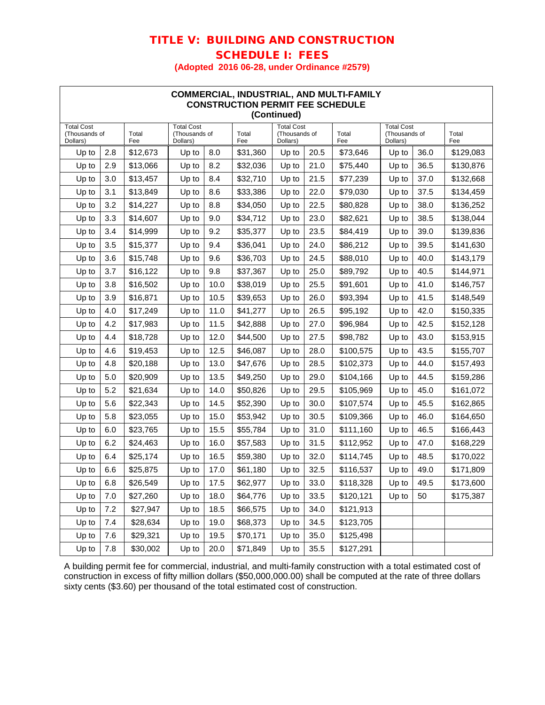# TITLE V: BUILDING AND CONSTRUCTION SCHEDULE I: FEES

**(Adopted 2016 06-28, under Ordinance #2579)**

| COMMERCIAL, INDUSTRIAL, AND MULTI-FAMILY<br><b>CONSTRUCTION PERMIT FEE SCHEDULE</b><br>(Continued) |     |              |                                                |      |                                                                                |       |                                                |           |              |      |           |
|----------------------------------------------------------------------------------------------------|-----|--------------|------------------------------------------------|------|--------------------------------------------------------------------------------|-------|------------------------------------------------|-----------|--------------|------|-----------|
| <b>Total Cost</b><br>(Thousands of<br>Dollars)                                                     |     | Total<br>Fee | <b>Total Cost</b><br>(Thousands of<br>Dollars) |      | <b>Total Cost</b><br>Total<br>(Thousands of<br>Total<br>Dollars)<br>Fee<br>Fee |       | <b>Total Cost</b><br>(Thousands of<br>Dollars) |           | Total<br>Fee |      |           |
| Up to                                                                                              | 2.8 | \$12,673     | Up to                                          | 8.0  | \$31,360                                                                       | Up to | 20.5                                           | \$73,646  | Up to        | 36.0 | \$129,083 |
| Up to                                                                                              | 2.9 | \$13,066     | Up to                                          | 8.2  | \$32,036                                                                       | Up to | 21.0                                           | \$75,440  | Up to        | 36.5 | \$130,876 |
| Up to                                                                                              | 3.0 | \$13,457     | Up to                                          | 8.4  | \$32,710                                                                       | Up to | 21.5                                           | \$77,239  | Up to        | 37.0 | \$132,668 |
| Up to                                                                                              | 3.1 | \$13,849     | Up to                                          | 8.6  | \$33,386                                                                       | Up to | 22.0                                           | \$79,030  | Up to        | 37.5 | \$134,459 |
| Up to                                                                                              | 3.2 | \$14,227     | Up to                                          | 8.8  | \$34,050                                                                       | Up to | 22.5                                           | \$80,828  | Up to        | 38.0 | \$136,252 |
| Up to                                                                                              | 3.3 | \$14,607     | Up to                                          | 9.0  | \$34,712                                                                       | Up to | 23.0                                           | \$82,621  | Up to        | 38.5 | \$138,044 |
| Up to                                                                                              | 3.4 | \$14,999     | Up to                                          | 9.2  | \$35,377                                                                       | Up to | 23.5                                           | \$84,419  | Up to        | 39.0 | \$139,836 |
| Up to                                                                                              | 3.5 | \$15,377     | Up to                                          | 9.4  | \$36,041                                                                       | Up to | 24.0                                           | \$86,212  | Up to        | 39.5 | \$141,630 |
| Up to                                                                                              | 3.6 | \$15,748     | Up to                                          | 9.6  | \$36,703                                                                       | Up to | 24.5                                           | \$88,010  | Up to        | 40.0 | \$143,179 |
| Up to                                                                                              | 3.7 | \$16,122     | Up to                                          | 9.8  | \$37,367                                                                       | Up to | 25.0                                           | \$89,792  | Up to        | 40.5 | \$144,971 |
| Up to                                                                                              | 3.8 | \$16,502     | Up to                                          | 10.0 | \$38,019                                                                       | Up to | 25.5                                           | \$91,601  | Up to        | 41.0 | \$146,757 |
| Up to                                                                                              | 3.9 | \$16,871     | Up to                                          | 10.5 | \$39,653                                                                       | Up to | 26.0                                           | \$93,394  | Up to        | 41.5 | \$148,549 |
| Up to                                                                                              | 4.0 | \$17,249     | Up to                                          | 11.0 | \$41,277                                                                       | Up to | 26.5                                           | \$95,192  | Up to        | 42.0 | \$150,335 |
| Up to                                                                                              | 4.2 | \$17,983     | Up to                                          | 11.5 | \$42,888                                                                       | Up to | 27.0                                           | \$96,984  | Up to        | 42.5 | \$152,128 |
| Up to                                                                                              | 4.4 | \$18,728     | Up to                                          | 12.0 | \$44,500                                                                       | Up to | 27.5                                           | \$98,782  | Up to        | 43.0 | \$153,915 |
| Up to                                                                                              | 4.6 | \$19,453     | Up to                                          | 12.5 | \$46,087                                                                       | Up to | 28.0                                           | \$100,575 | Up to        | 43.5 | \$155,707 |
| Up to                                                                                              | 4.8 | \$20,188     | Up to                                          | 13.0 | \$47,676                                                                       | Up to | 28.5                                           | \$102,373 | Up to        | 44.0 | \$157,493 |
| Up to                                                                                              | 5.0 | \$20,909     | Up to                                          | 13.5 | \$49,250                                                                       | Up to | 29.0                                           | \$104,166 | Up to        | 44.5 | \$159,286 |
| Up to                                                                                              | 5.2 | \$21,634     | Up to                                          | 14.0 | \$50,826                                                                       | Up to | 29.5                                           | \$105,969 | Up to        | 45.0 | \$161,072 |
| Up to                                                                                              | 5.6 | \$22,343     | Up to                                          | 14.5 | \$52,390                                                                       | Up to | 30.0                                           | \$107,574 | Up to        | 45.5 | \$162,865 |
| Up to                                                                                              | 5.8 | \$23,055     | Up to                                          | 15.0 | \$53,942                                                                       | Up to | 30.5                                           | \$109,366 | Up to        | 46.0 | \$164,650 |
| Up to                                                                                              | 6.0 | \$23,765     | Up to                                          | 15.5 | \$55,784                                                                       | Up to | 31.0                                           | \$111,160 | Up to        | 46.5 | \$166,443 |
| Up to                                                                                              | 6.2 | \$24,463     | Up to                                          | 16.0 | \$57,583                                                                       | Up to | 31.5                                           | \$112,952 | Up to        | 47.0 | \$168,229 |
| Up to                                                                                              | 6.4 | \$25,174     | Up to                                          | 16.5 | \$59,380                                                                       | Up to | 32.0                                           | \$114,745 | Up to        | 48.5 | \$170,022 |
| Up to                                                                                              | 6.6 | \$25,875     | Up to                                          | 17.0 | \$61,180                                                                       | Up to | 32.5                                           | \$116,537 | Up to        | 49.0 | \$171,809 |
| Up to                                                                                              | 6.8 | \$26,549     | Up to                                          | 17.5 | \$62,977                                                                       | Up to | 33.0                                           | \$118,328 | Up to        | 49.5 | \$173,600 |
| Up to                                                                                              | 7.0 | \$27,260     | Up to                                          | 18.0 | \$64,776                                                                       | Up to | 33.5                                           | \$120,121 | Up to        | 50   | \$175,387 |
| Up to                                                                                              | 7.2 | \$27,947     | Up to                                          | 18.5 | \$66,575                                                                       | Up to | 34.0                                           | \$121,913 |              |      |           |
| Up to                                                                                              | 7.4 | \$28,634     | Up to                                          | 19.0 | \$68,373                                                                       | Up to | 34.5                                           | \$123,705 |              |      |           |
| Up to                                                                                              | 7.6 | \$29,321     | Up to                                          | 19.5 | \$70,171                                                                       | Up to | 35.0                                           | \$125,498 |              |      |           |
| Up to                                                                                              | 7.8 | \$30,002     | Up to                                          | 20.0 | \$71,849                                                                       | Up to | 35.5                                           | \$127,291 |              |      |           |

A building permit fee for commercial, industrial, and multi-family construction with a total estimated cost of construction in excess of fifty million dollars (\$50,000,000.00) shall be computed at the rate of three dollars sixty cents (\$3.60) per thousand of the total estimated cost of construction.